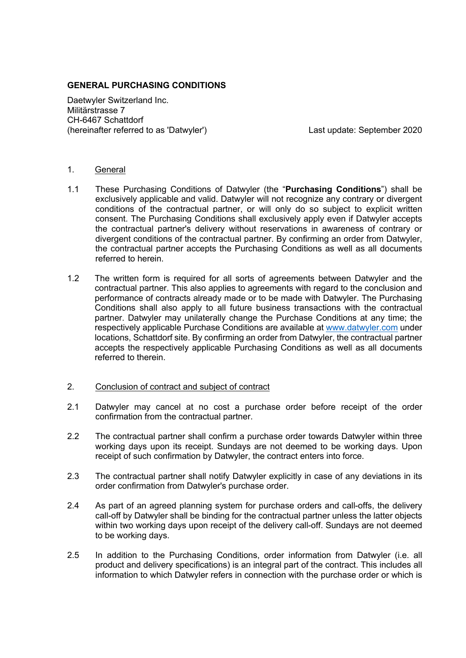# **GENERAL PURCHASING CONDITIONS**

Daetwyler Switzerland Inc. Militärstrasse 7 CH-6467 Schattdorf (hereinafter referred to as 'Datwyler') Last update: September 2020

## 1. General

- 1.1 These Purchasing Conditions of Datwyler (the "**Purchasing Conditions**") shall be exclusively applicable and valid. Datwyler will not recognize any contrary or divergent conditions of the contractual partner, or will only do so subject to explicit written consent. The Purchasing Conditions shall exclusively apply even if Datwyler accepts the contractual partner's delivery without reservations in awareness of contrary or divergent conditions of the contractual partner. By confirming an order from Datwyler, the contractual partner accepts the Purchasing Conditions as well as all documents referred to herein.
- 1.2 The written form is required for all sorts of agreements between Datwyler and the contractual partner. This also applies to agreements with regard to the conclusion and performance of contracts already made or to be made with Datwyler. The Purchasing Conditions shall also apply to all future business transactions with the contractual partner. Datwyler may unilaterally change the Purchase Conditions at any time; the respectively applicable Purchase Conditions are available at www.datwyler.com under locations, Schattdorf site. By confirming an order from Datwyler, the contractual partner accepts the respectively applicable Purchasing Conditions as well as all documents referred to therein.

# 2. Conclusion of contract and subject of contract

- 2.1 Datwyler may cancel at no cost a purchase order before receipt of the order confirmation from the contractual partner.
- 2.2 The contractual partner shall confirm a purchase order towards Datwyler within three working days upon its receipt. Sundays are not deemed to be working days. Upon receipt of such confirmation by Datwyler, the contract enters into force.
- 2.3 The contractual partner shall notify Datwyler explicitly in case of any deviations in its order confirmation from Datwyler's purchase order.
- 2.4 As part of an agreed planning system for purchase orders and call-offs, the delivery call-off by Datwyler shall be binding for the contractual partner unless the latter objects within two working days upon receipt of the delivery call-off. Sundays are not deemed to be working days.
- 2.5 In addition to the Purchasing Conditions, order information from Datwyler (i.e. all product and delivery specifications) is an integral part of the contract. This includes all information to which Datwyler refers in connection with the purchase order or which is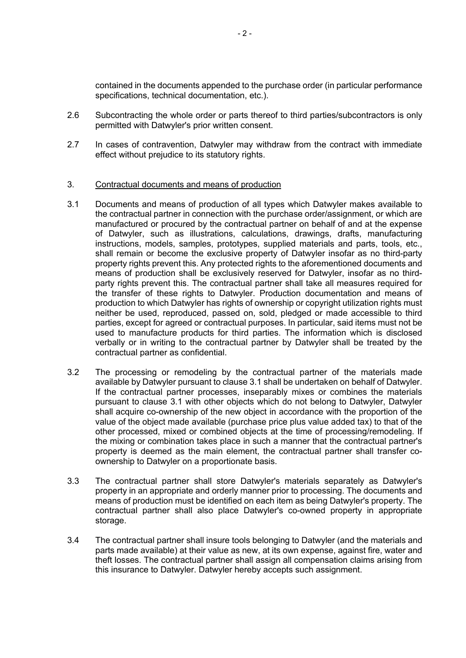contained in the documents appended to the purchase order (in particular performance specifications, technical documentation, etc.).

- 2.6 Subcontracting the whole order or parts thereof to third parties/subcontractors is only permitted with Datwyler's prior written consent.
- 2.7 In cases of contravention, Datwyler may withdraw from the contract with immediate effect without prejudice to its statutory rights.

## 3. Contractual documents and means of production

- 3.1 Documents and means of production of all types which Datwyler makes available to the contractual partner in connection with the purchase order/assignment, or which are manufactured or procured by the contractual partner on behalf of and at the expense of Datwyler, such as illustrations, calculations, drawings, drafts, manufacturing instructions, models, samples, prototypes, supplied materials and parts, tools, etc., shall remain or become the exclusive property of Datwyler insofar as no third-party property rights prevent this. Any protected rights to the aforementioned documents and means of production shall be exclusively reserved for Datwyler, insofar as no thirdparty rights prevent this. The contractual partner shall take all measures required for the transfer of these rights to Datwyler. Production documentation and means of production to which Datwyler has rights of ownership or copyright utilization rights must neither be used, reproduced, passed on, sold, pledged or made accessible to third parties, except for agreed or contractual purposes. In particular, said items must not be used to manufacture products for third parties. The information which is disclosed verbally or in writing to the contractual partner by Datwyler shall be treated by the contractual partner as confidential.
- 3.2 The processing or remodeling by the contractual partner of the materials made available by Datwyler pursuant to clause 3.1 shall be undertaken on behalf of Datwyler. If the contractual partner processes, inseparably mixes or combines the materials pursuant to clause 3.1 with other objects which do not belong to Datwyler, Datwyler shall acquire co-ownership of the new object in accordance with the proportion of the value of the object made available (purchase price plus value added tax) to that of the other processed, mixed or combined objects at the time of processing/remodeling. If the mixing or combination takes place in such a manner that the contractual partner's property is deemed as the main element, the contractual partner shall transfer coownership to Datwyler on a proportionate basis.
- 3.3 The contractual partner shall store Datwyler's materials separately as Datwyler's property in an appropriate and orderly manner prior to processing. The documents and means of production must be identified on each item as being Datwyler's property. The contractual partner shall also place Datwyler's co-owned property in appropriate storage.
- 3.4 The contractual partner shall insure tools belonging to Datwyler (and the materials and parts made available) at their value as new, at its own expense, against fire, water and theft losses. The contractual partner shall assign all compensation claims arising from this insurance to Datwyler. Datwyler hereby accepts such assignment.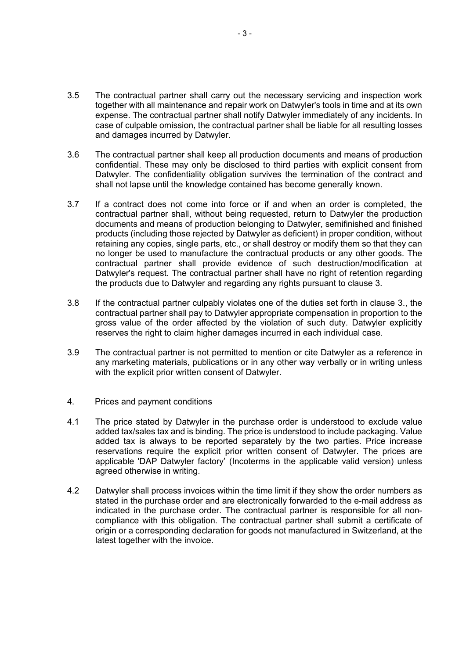- 3.5 The contractual partner shall carry out the necessary servicing and inspection work together with all maintenance and repair work on Datwyler's tools in time and at its own expense. The contractual partner shall notify Datwyler immediately of any incidents. In case of culpable omission, the contractual partner shall be liable for all resulting losses and damages incurred by Datwyler.
- 3.6 The contractual partner shall keep all production documents and means of production confidential. These may only be disclosed to third parties with explicit consent from Datwyler. The confidentiality obligation survives the termination of the contract and shall not lapse until the knowledge contained has become generally known.
- 3.7 If a contract does not come into force or if and when an order is completed, the contractual partner shall, without being requested, return to Datwyler the production documents and means of production belonging to Datwyler, semifinished and finished products (including those rejected by Datwyler as deficient) in proper condition, without retaining any copies, single parts, etc., or shall destroy or modify them so that they can no longer be used to manufacture the contractual products or any other goods. The contractual partner shall provide evidence of such destruction/modification at Datwyler's request. The contractual partner shall have no right of retention regarding the products due to Datwyler and regarding any rights pursuant to clause 3.
- 3.8 If the contractual partner culpably violates one of the duties set forth in clause 3., the contractual partner shall pay to Datwyler appropriate compensation in proportion to the gross value of the order affected by the violation of such duty. Datwyler explicitly reserves the right to claim higher damages incurred in each individual case.
- 3.9 The contractual partner is not permitted to mention or cite Datwyler as a reference in any marketing materials, publications or in any other way verbally or in writing unless with the explicit prior written consent of Datwyler.

### 4. Prices and payment conditions

- 4.1 The price stated by Datwyler in the purchase order is understood to exclude value added tax/sales tax and is binding. The price is understood to include packaging. Value added tax is always to be reported separately by the two parties. Price increase reservations require the explicit prior written consent of Datwyler. The prices are applicable 'DAP Datwyler factory' (Incoterms in the applicable valid version) unless agreed otherwise in writing.
- 4.2 Datwyler shall process invoices within the time limit if they show the order numbers as stated in the purchase order and are electronically forwarded to the e-mail address as indicated in the purchase order. The contractual partner is responsible for all noncompliance with this obligation. The contractual partner shall submit a certificate of origin or a corresponding declaration for goods not manufactured in Switzerland, at the latest together with the invoice.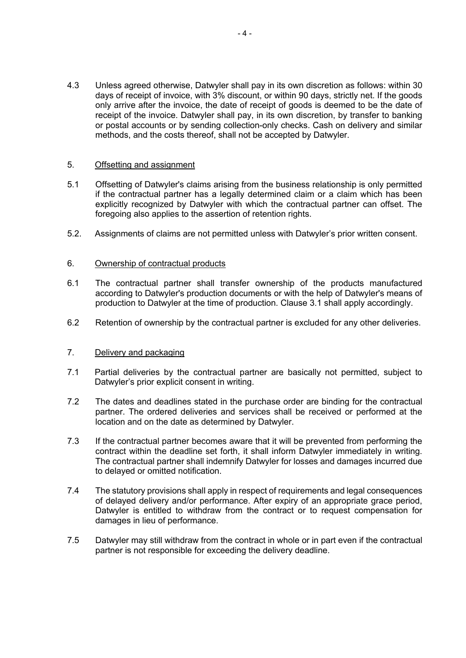4.3 Unless agreed otherwise, Datwyler shall pay in its own discretion as follows: within 30 days of receipt of invoice, with 3% discount, or within 90 days, strictly net. If the goods only arrive after the invoice, the date of receipt of goods is deemed to be the date of receipt of the invoice. Datwyler shall pay, in its own discretion, by transfer to banking or postal accounts or by sending collection-only checks. Cash on delivery and similar methods, and the costs thereof, shall not be accepted by Datwyler.

## 5. Offsetting and assignment

- 5.1 Offsetting of Datwyler's claims arising from the business relationship is only permitted if the contractual partner has a legally determined claim or a claim which has been explicitly recognized by Datwyler with which the contractual partner can offset. The foregoing also applies to the assertion of retention rights.
- 5.2. Assignments of claims are not permitted unless with Datwyler's prior written consent.

## 6. Ownership of contractual products

- 6.1 The contractual partner shall transfer ownership of the products manufactured according to Datwyler's production documents or with the help of Datwyler's means of production to Datwyler at the time of production. Clause 3.1 shall apply accordingly.
- 6.2 Retention of ownership by the contractual partner is excluded for any other deliveries.

### 7. Delivery and packaging

- 7.1 Partial deliveries by the contractual partner are basically not permitted, subject to Datwyler's prior explicit consent in writing.
- 7.2 The dates and deadlines stated in the purchase order are binding for the contractual partner. The ordered deliveries and services shall be received or performed at the location and on the date as determined by Datwyler.
- 7.3 If the contractual partner becomes aware that it will be prevented from performing the contract within the deadline set forth, it shall inform Datwyler immediately in writing. The contractual partner shall indemnify Datwyler for losses and damages incurred due to delayed or omitted notification.
- 7.4 The statutory provisions shall apply in respect of requirements and legal consequences of delayed delivery and/or performance. After expiry of an appropriate grace period, Datwyler is entitled to withdraw from the contract or to request compensation for damages in lieu of performance.
- 7.5 Datwyler may still withdraw from the contract in whole or in part even if the contractual partner is not responsible for exceeding the delivery deadline.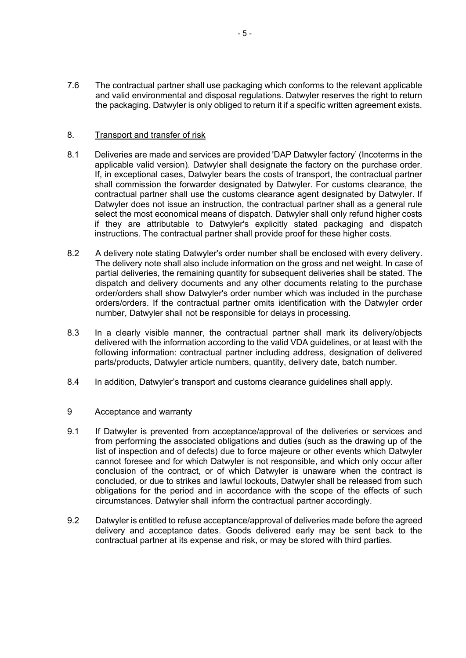7.6 The contractual partner shall use packaging which conforms to the relevant applicable and valid environmental and disposal regulations. Datwyler reserves the right to return the packaging. Datwyler is only obliged to return it if a specific written agreement exists.

# 8. Transport and transfer of risk

- 8.1 Deliveries are made and services are provided 'DAP Datwyler factory' (Incoterms in the applicable valid version). Datwyler shall designate the factory on the purchase order. If, in exceptional cases, Datwyler bears the costs of transport, the contractual partner shall commission the forwarder designated by Datwyler. For customs clearance, the contractual partner shall use the customs clearance agent designated by Datwyler. If Datwyler does not issue an instruction, the contractual partner shall as a general rule select the most economical means of dispatch. Datwyler shall only refund higher costs if they are attributable to Datwyler's explicitly stated packaging and dispatch instructions. The contractual partner shall provide proof for these higher costs.
- 8.2 A delivery note stating Datwyler's order number shall be enclosed with every delivery. The delivery note shall also include information on the gross and net weight. In case of partial deliveries, the remaining quantity for subsequent deliveries shall be stated. The dispatch and delivery documents and any other documents relating to the purchase order/orders shall show Datwyler's order number which was included in the purchase orders/orders. If the contractual partner omits identification with the Datwyler order number, Datwyler shall not be responsible for delays in processing.
- 8.3 In a clearly visible manner, the contractual partner shall mark its delivery/objects delivered with the information according to the valid VDA guidelines, or at least with the following information: contractual partner including address, designation of delivered parts/products, Datwyler article numbers, quantity, delivery date, batch number.
- 8.4 In addition, Datwyler's transport and customs clearance guidelines shall apply.

# 9 Acceptance and warranty

- 9.1 If Datwyler is prevented from acceptance/approval of the deliveries or services and from performing the associated obligations and duties (such as the drawing up of the list of inspection and of defects) due to force majeure or other events which Datwyler cannot foresee and for which Datwyler is not responsible, and which only occur after conclusion of the contract, or of which Datwyler is unaware when the contract is concluded, or due to strikes and lawful lockouts, Datwyler shall be released from such obligations for the period and in accordance with the scope of the effects of such circumstances. Datwyler shall inform the contractual partner accordingly.
- 9.2 Datwyler is entitled to refuse acceptance/approval of deliveries made before the agreed delivery and acceptance dates. Goods delivered early may be sent back to the contractual partner at its expense and risk, or may be stored with third parties.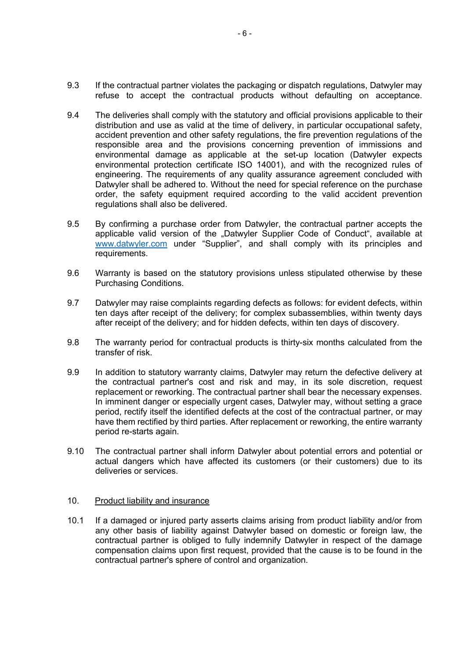- 9.3 If the contractual partner violates the packaging or dispatch regulations, Datwyler may refuse to accept the contractual products without defaulting on acceptance.
- 9.4 The deliveries shall comply with the statutory and official provisions applicable to their distribution and use as valid at the time of delivery, in particular occupational safety, accident prevention and other safety regulations, the fire prevention regulations of the responsible area and the provisions concerning prevention of immissions and environmental damage as applicable at the set-up location (Datwyler expects environmental protection certificate ISO 14001), and with the recognized rules of engineering. The requirements of any quality assurance agreement concluded with Datwyler shall be adhered to. Without the need for special reference on the purchase order, the safety equipment required according to the valid accident prevention regulations shall also be delivered.
- 9.5 By confirming a purchase order from Datwyler, the contractual partner accepts the applicable valid version of the "Datwyler Supplier Code of Conduct", available at www.datwyler.com under "Supplier", and shall comply with its principles and requirements.
- 9.6 Warranty is based on the statutory provisions unless stipulated otherwise by these Purchasing Conditions.
- 9.7 Datwyler may raise complaints regarding defects as follows: for evident defects, within ten days after receipt of the delivery; for complex subassemblies, within twenty days after receipt of the delivery; and for hidden defects, within ten days of discovery.
- 9.8 The warranty period for contractual products is thirty-six months calculated from the transfer of risk.
- 9.9 In addition to statutory warranty claims, Datwyler may return the defective delivery at the contractual partner's cost and risk and may, in its sole discretion, request replacement or reworking. The contractual partner shall bear the necessary expenses. In imminent danger or especially urgent cases, Datwyler may, without setting a grace period, rectify itself the identified defects at the cost of the contractual partner, or may have them rectified by third parties. After replacement or reworking, the entire warranty period re-starts again.
- 9.10 The contractual partner shall inform Datwyler about potential errors and potential or actual dangers which have affected its customers (or their customers) due to its deliveries or services.

### 10. Product liability and insurance

10.1 If a damaged or injured party asserts claims arising from product liability and/or from any other basis of liability against Datwyler based on domestic or foreign law, the contractual partner is obliged to fully indemnify Datwyler in respect of the damage compensation claims upon first request, provided that the cause is to be found in the contractual partner's sphere of control and organization.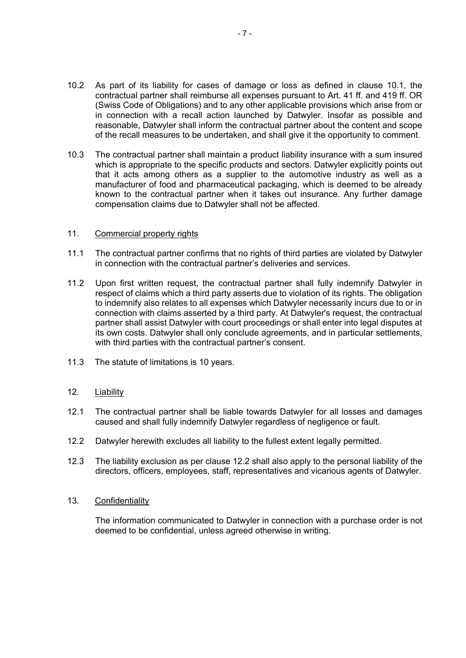- 10.2 As part of its liability for cases of damage or loss as defined in clause 10.1, the contractual partner shall reimburse all expenses pursuant to Art. 41 ff. and 419 ff. OR (Swiss Code of Obligations) and to any other applicable provisions which arise from or in connection with a recall action launched by Datwyler. Insofar as possible and reasonable, Datwyler shall inform the contractual partner about the content and scope of the recall measures to be undertaken, and shall give it the opportunity to comment.
- 10.3 The contractual partner shall maintain a product liability insurance with a sum insured which is appropriate to the specific products and sectors. Datwyler explicitly points out that it acts among others as a supplier to the automotive industry as well as a manufacturer of food and pharmaceutical packaging, which is deemed to be already known to the contractual partner when it takes out insurance. Any further damage compensation claims due to Datwyler shall not be affected.

### 11. Commercial property rights

- 11.1 The contractual partner confirms that no rights of third parties are violated by Datwyler in connection with the contractual partner's deliveries and services.
- 11.2 Upon first written request, the contractual partner shall fully indemnify Datwyler in respect of claims which a third party asserts due to violation of its rights. The obligation to indemnify also relates to all expenses which Datwyler necessarily incurs due to or in connection with claims asserted by a third party. At Datwyler's request, the contractual partner shall assist Datwyler with court proceedings or shall enter into legal disputes at its own costs. Datwyler shall only conclude agreements, and in particular settlements, with third parties with the contractual partner's consent.
- 11.3 The statute of limitations is 10 years.
- 12. Liability
- 12.1 The contractual partner shall be liable towards Datwyler for all losses and damages caused and shall fully indemnify Datwyler regardless of negligence or fault.
- 12.2 Datwyler herewith excludes all liability to the fullest extent legally permitted.
- 12.3 The liability exclusion as per clause 12.2 shall also apply to the personal liability of the directors, officers, employees, staff, representatives and vicarious agents of Datwyler.
- 13. Confidentiality

The information communicated to Datwyler in connection with a purchase order is not deemed to be confidential, unless agreed otherwise in writing.